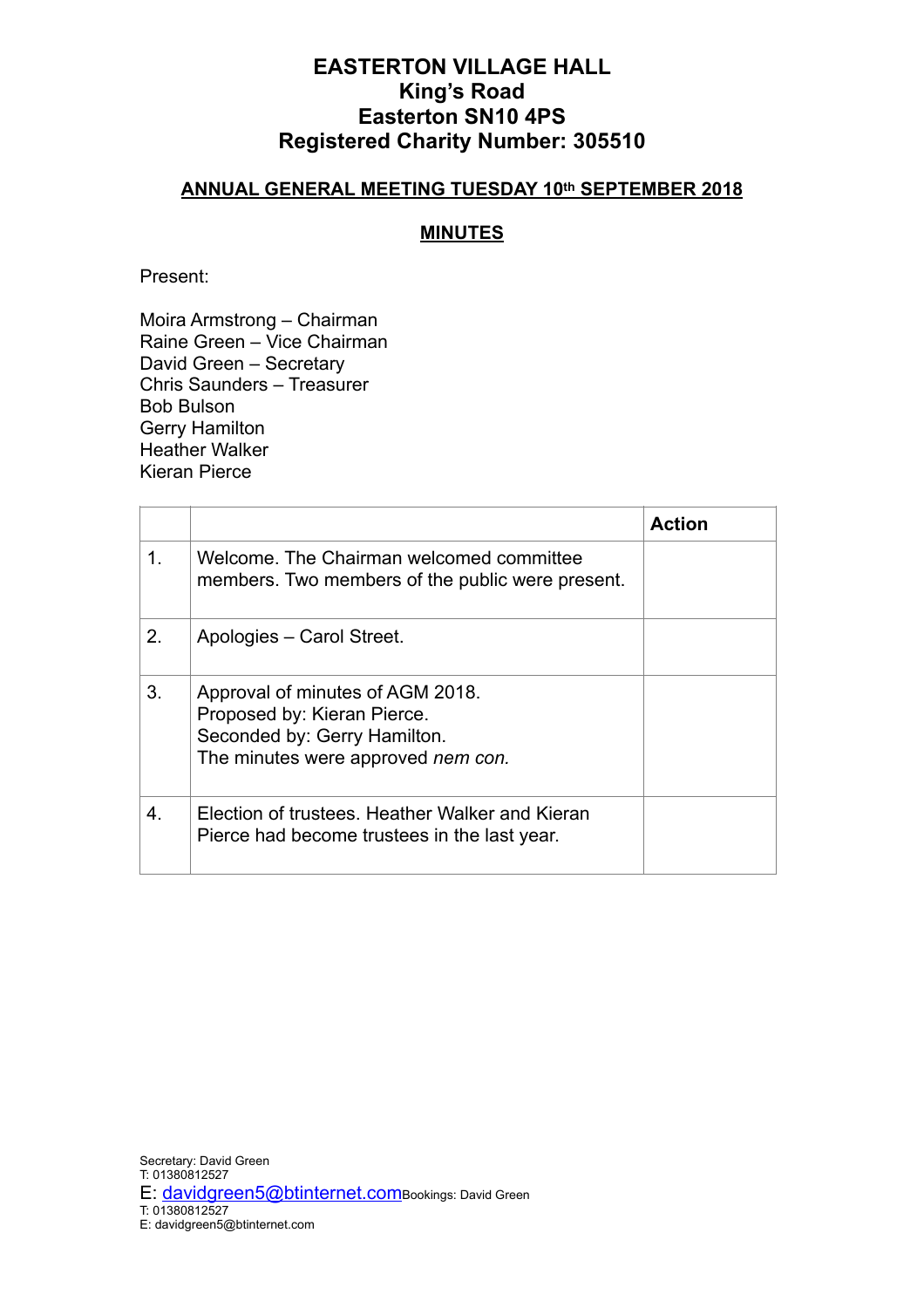## **EASTERTON VILLAGE HALL King's Road Easterton SN10 4PS Registered Charity Number: 305510**

#### **ANNUAL GENERAL MEETING TUESDAY 10th SEPTEMBER 2018**

### **MINUTES**

Present:

Moira Armstrong – Chairman Raine Green – Vice Chairman David Green – Secretary Chris Saunders – Treasurer Bob Bulson Gerry Hamilton Heather Walker Kieran Pierce

|    |                                                                                                                                       | <b>Action</b> |
|----|---------------------------------------------------------------------------------------------------------------------------------------|---------------|
| 1. | Welcome. The Chairman welcomed committee<br>members. Two members of the public were present.                                          |               |
| 2. | Apologies - Carol Street.                                                                                                             |               |
| 3. | Approval of minutes of AGM 2018.<br>Proposed by: Kieran Pierce.<br>Seconded by: Gerry Hamilton.<br>The minutes were approved nem con. |               |
| 4. | Election of trustees. Heather Walker and Kieran<br>Pierce had become trustees in the last year.                                       |               |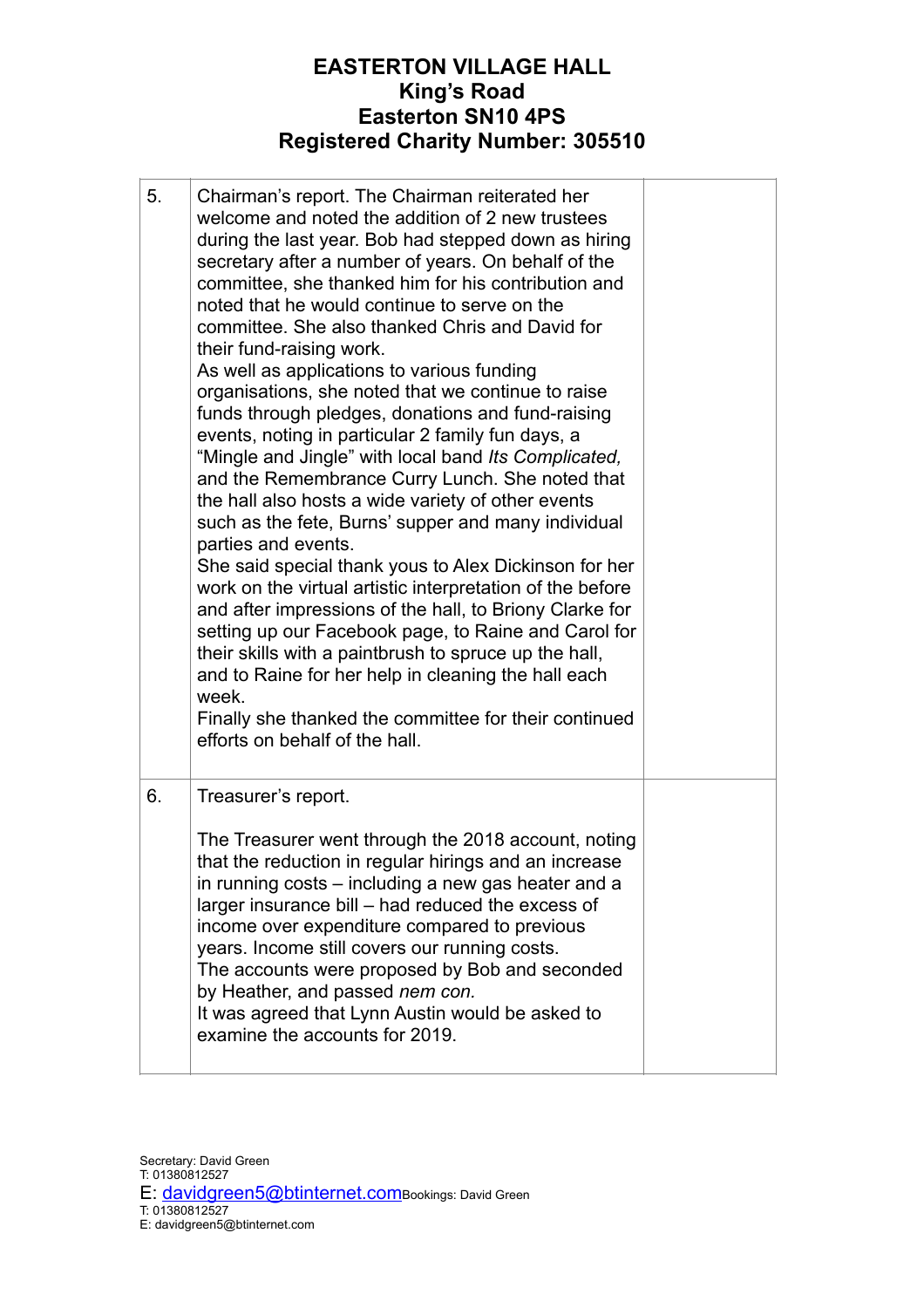# **EASTERTON VILLAGE HALL King's Road Easterton SN10 4PS Registered Charity Number: 305510**

| 5. | Chairman's report. The Chairman reiterated her<br>welcome and noted the addition of 2 new trustees<br>during the last year. Bob had stepped down as hiring<br>secretary after a number of years. On behalf of the<br>committee, she thanked him for his contribution and<br>noted that he would continue to serve on the<br>committee. She also thanked Chris and David for<br>their fund-raising work.<br>As well as applications to various funding<br>organisations, she noted that we continue to raise<br>funds through pledges, donations and fund-raising<br>events, noting in particular 2 family fun days, a<br>"Mingle and Jingle" with local band Its Complicated,<br>and the Remembrance Curry Lunch. She noted that<br>the hall also hosts a wide variety of other events<br>such as the fete, Burns' supper and many individual<br>parties and events.<br>She said special thank yous to Alex Dickinson for her<br>work on the virtual artistic interpretation of the before<br>and after impressions of the hall, to Briony Clarke for<br>setting up our Facebook page, to Raine and Carol for<br>their skills with a paintbrush to spruce up the hall,<br>and to Raine for her help in cleaning the hall each<br>week.<br>Finally she thanked the committee for their continued<br>efforts on behalf of the hall. |  |
|----|-----------------------------------------------------------------------------------------------------------------------------------------------------------------------------------------------------------------------------------------------------------------------------------------------------------------------------------------------------------------------------------------------------------------------------------------------------------------------------------------------------------------------------------------------------------------------------------------------------------------------------------------------------------------------------------------------------------------------------------------------------------------------------------------------------------------------------------------------------------------------------------------------------------------------------------------------------------------------------------------------------------------------------------------------------------------------------------------------------------------------------------------------------------------------------------------------------------------------------------------------------------------------------------------------------------------------------------|--|
| 6. | Treasurer's report.<br>The Treasurer went through the 2018 account, noting<br>that the reduction in regular hirings and an increase<br>in running costs – including a new gas heater and a<br>larger insurance bill - had reduced the excess of<br>income over expenditure compared to previous<br>years. Income still covers our running costs.<br>The accounts were proposed by Bob and seconded<br>by Heather, and passed nem con.<br>It was agreed that Lynn Austin would be asked to<br>examine the accounts for 2019.                                                                                                                                                                                                                                                                                                                                                                                                                                                                                                                                                                                                                                                                                                                                                                                                       |  |